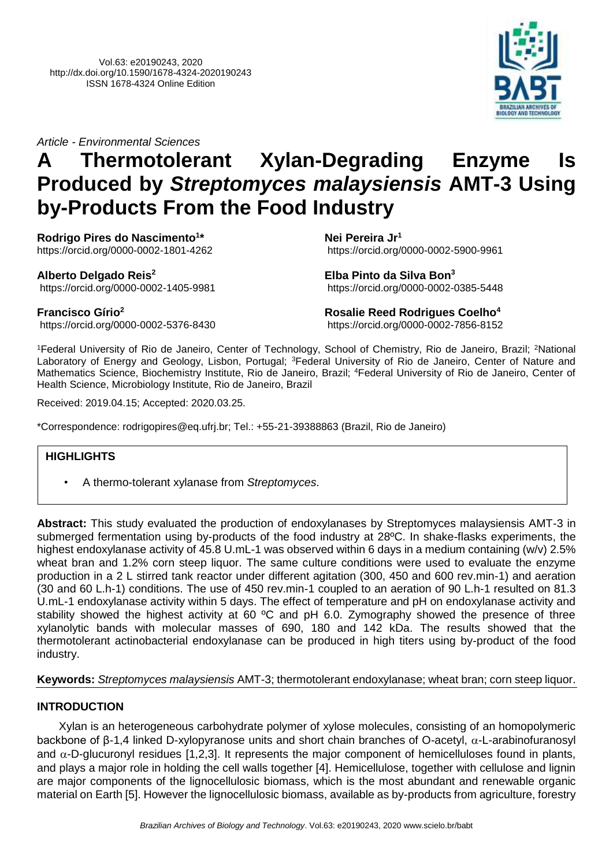*Article - Environmental Sciences*

# **A Thermotolerant Xylan-Degrading Enzyme Is Produced by** *Streptomyces malaysiensis* **AMT-3 Using by-Products From the Food Industry**

**Rodrigo Pires do Nascimento<sup>1</sup> \*** <https://orcid.org/0000-0002-1801-4262>

**Alberto Delgado Reis<sup>2</sup>**

**Nei Pereira Jr<sup>1</sup>** [https://orcid.org/0000-0002-5900-9961](https://orcid.org/0000-0000-0000-0000)

**Elba Pinto da Silva Bon<sup>3</sup>** [https://orcid.org/0000-0002-0385-5448](https://orcid.org/0000-0000-0000-0000)

**Francisco Gírio<sup>2</sup>** [https://orcid.org/0000-0002-5376-8430](https://orcid.org/0000-0000-0000-0000)

[https://orcid.org/0000-0002-1405-9981](https://orcid.org/0000-0000-0000-0000)

**Rosalie Reed Rodrigues Coelho<sup>4</sup>** [https://orcid.org/0000-0002-7856-8152](https://orcid.org/0000-0000-0000-0000)

<sup>1</sup>Federal University of Rio de Janeiro, Center of Technology, School of Chemistry, Rio de Janeiro, Brazil; <sup>2</sup>National Laboratory of Energy and Geology, Lisbon, Portugal; <sup>3</sup>Federal University of Rio de Janeiro, Center of Nature and Mathematics Science, Biochemistry Institute, Rio de Janeiro, Brazil; <sup>4</sup>Federal University of Rio de Janeiro, Center of Health Science, Microbiology Institute, Rio de Janeiro, Brazil

Received: 2019.04.15; Accepted: 2020.03.25.

\*Correspondence: rodrigopires@eq.ufrj.br; Tel.: +55-21-39388863 (Brazil, Rio de Janeiro)

# **HIGHLIGHTS**

• A thermo-tolerant xylanase from *Streptomyces*.

**Abstract:** This study evaluated the production of endoxylanases by Streptomyces malaysiensis AMT-3 in submerged fermentation using by-products of the food industry at 28ºC. In shake-flasks experiments, the highest endoxylanase activity of 45.8 U.mL-1 was observed within 6 days in a medium containing (w/v) 2.5% wheat bran and 1.2% corn steep liquor. The same culture conditions were used to evaluate the enzyme production in a 2 L stirred tank reactor under different agitation (300, 450 and 600 rev.min-1) and aeration (30 and 60 L.h-1) conditions. The use of 450 rev.min-1 coupled to an aeration of 90 L.h-1 resulted on 81.3 U.mL-1 endoxylanase activity within 5 days. The effect of temperature and pH on endoxylanase activity and stability showed the highest activity at 60 °C and pH 6.0. Zymography showed the presence of three xylanolytic bands with molecular masses of 690, 180 and 142 kDa. The results showed that the thermotolerant actinobacterial endoxylanase can be produced in high titers using by-product of the food industry.

# **Keywords:** *Streptomyces malaysiensis* AMT-3; thermotolerant endoxylanase; wheat bran; corn steep liquor.

# **INTRODUCTION**

Xylan is an heterogeneous carbohydrate polymer of xylose molecules, consisting of an homopolymeric backbone of  $\beta$ -1,4 linked D-xylopyranose units and short chain branches of O-acetyl,  $\alpha$ -L-arabinofuranosyl and  $\alpha$ -D-glucuronyl residues [1,2,3]. It represents the major component of hemicelluloses found in plants, and plays a major role in holding the cell walls together [4]. Hemicellulose, together with cellulose and lignin are major components of the lignocellulosic biomass, which is the most abundant and renewable organic material on Earth [5]. However the lignocellulosic biomass, available as by-products from agriculture, forestry

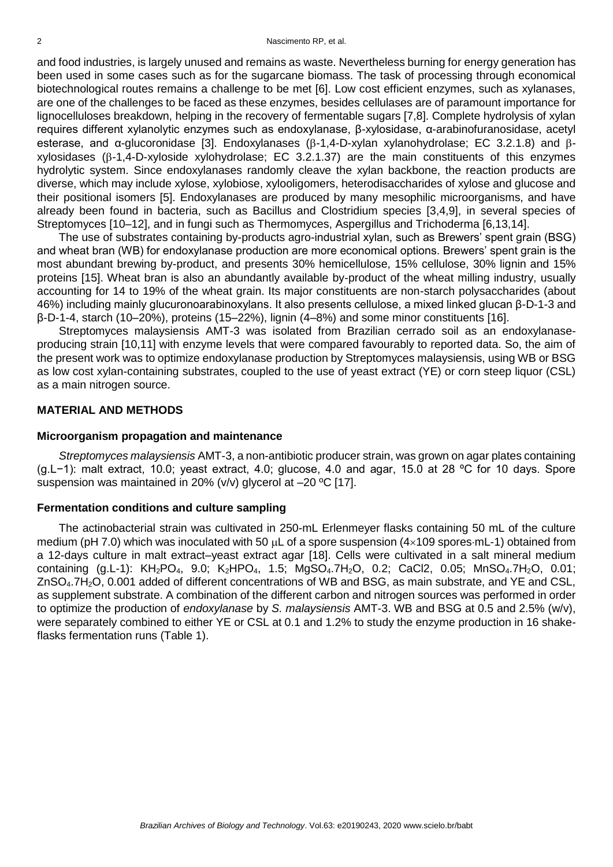and food industries, is largely unused and remains as waste. Nevertheless burning for energy generation has been used in some cases such as for the sugarcane biomass. The task of processing through economical biotechnological routes remains a challenge to be met [6]. Low cost efficient enzymes, such as xylanases, are one of the challenges to be faced as these enzymes, besides cellulases are of paramount importance for lignocelluloses breakdown, helping in the recovery of fermentable sugars [7,8]. Complete hydrolysis of xylan requires different xylanolytic enzymes such as endoxylanase, β-xylosidase, α-arabinofuranosidase, acetyl esterase, and  $\alpha$ -glucoronidase [3]. Endoxylanases ( $\beta$ -1,4-D-xylan xylanohydrolase; EC 3.2.1.8) and  $\beta$  $xy$ losidases ( $\beta$ -1,4-D-xyloside xylohydrolase; EC 3.2.1.37) are the main constituents of this enzymes hydrolytic system. Since endoxylanases randomly cleave the xylan backbone, the reaction products are diverse, which may include xylose, xylobiose, xylooligomers, heterodisaccharides of xylose and glucose and their positional isomers [5]. Endoxylanases are produced by many mesophilic microorganisms, and have already been found in bacteria, such as Bacillus and Clostridium species [3,4,9], in several species of Streptomyces [10–12], and in fungi such as Thermomyces, Aspergillus and Trichoderma [6,13,14].

The use of substrates containing by-products agro-industrial xylan, such as Brewers' spent grain (BSG) and wheat bran (WB) for endoxylanase production are more economical options. Brewers' spent grain is the most abundant brewing by-product, and presents 30% hemicellulose, 15% cellulose, 30% lignin and 15% proteins [15]. Wheat bran is also an abundantly available by-product of the wheat milling industry, usually accounting for 14 to 19% of the wheat grain. Its major constituents are non-starch polysaccharides (about 46%) including mainly glucuronoarabinoxylans. It also presents cellulose, a mixed linked glucan β-D-1-3 and β-D-1-4, starch (10–20%), proteins (15–22%), lignin (4–8%) and some minor constituents [16].

Streptomyces malaysiensis AMT-3 was isolated from Brazilian cerrado soil as an endoxylanaseproducing strain [10,11] with enzyme levels that were compared favourably to reported data. So, the aim of the present work was to optimize endoxylanase production by Streptomyces malaysiensis, using WB or BSG as low cost xylan-containing substrates, coupled to the use of yeast extract (YE) or corn steep liquor (CSL) as a main nitrogen source.

### **MATERIAL AND METHODS**

#### **Microorganism propagation and maintenance**

*Streptomyces malaysiensis* AMT-3, a non-antibiotic producer strain, was grown on agar plates containing (g.L−1): malt extract, 10.0; yeast extract, 4.0; glucose, 4.0 and agar, 15.0 at 28 ºC for 10 days. Spore suspension was maintained in 20% (v/v) glycerol at –20 ºC [17].

#### **Fermentation conditions and culture sampling**

The actinobacterial strain was cultivated in 250-mL Erlenmeyer flasks containing 50 mL of the culture medium (pH 7.0) which was inoculated with 50  $\mu$ L of a spore suspension (4 $\times$ 109 spores·mL-1) obtained from a 12-days culture in malt extract–yeast extract agar [18]. Cells were cultivated in a salt mineral medium containing  $(q.L-1)$ :  $KH_2PO_4$ , 9.0;  $K_2HPO_4$ , 1.5;  $MqSO_4.7H_2O$ , 0.2; CaCl2, 0.05;  $MnSO_4.7H_2O$ , 0.01; ZnSO4.7H2O, 0.001 added of different concentrations of WB and BSG, as main substrate, and YE and CSL, as supplement substrate. A combination of the different carbon and nitrogen sources was performed in order to optimize the production of *endoxylanase* by *S. malaysiensis* AMT-3. WB and BSG at 0.5 and 2.5% (w/v), were separately combined to either YE or CSL at 0.1 and 1.2% to study the enzyme production in 16 shakeflasks fermentation runs (Table 1).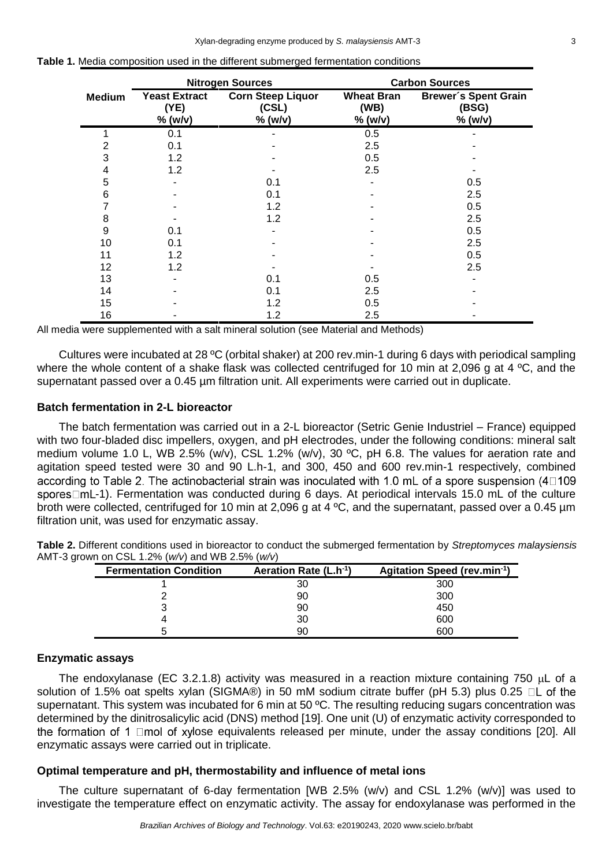|               | <b>Nitrogen Sources</b>                 |                                              | <b>Carbon Sources</b>                |                                                 |  |
|---------------|-----------------------------------------|----------------------------------------------|--------------------------------------|-------------------------------------------------|--|
| <b>Medium</b> | <b>Yeast Extract</b><br>(YE)<br>% (w/v) | <b>Corn Steep Liquor</b><br>(CSL)<br>% (w/v) | <b>Wheat Bran</b><br>(WB)<br>% (w/v) | <b>Brewer's Spent Grain</b><br>(BSG)<br>% (w/v) |  |
|               | 0.1                                     |                                              | 0.5                                  |                                                 |  |
|               | 0.1                                     |                                              | 2.5                                  |                                                 |  |
| 3             | 1.2                                     |                                              | 0.5                                  |                                                 |  |
| 4             | 1.2                                     |                                              | 2.5                                  |                                                 |  |
| 5             |                                         | 0.1                                          |                                      | 0.5                                             |  |
| 6             |                                         | 0.1                                          |                                      | 2.5                                             |  |
|               |                                         | 1.2                                          |                                      | 0.5                                             |  |
| 8             |                                         | 1.2                                          |                                      | 2.5                                             |  |
| 9             | 0.1                                     |                                              |                                      | 0.5                                             |  |
| 10            | 0.1                                     |                                              |                                      | 2.5                                             |  |
| 11            | 1.2                                     |                                              |                                      | 0.5                                             |  |
| 12            | 1.2                                     |                                              |                                      | 2.5                                             |  |
| 13            |                                         | 0.1                                          | 0.5                                  |                                                 |  |
| 14            |                                         | 0.1                                          | 2.5                                  |                                                 |  |
| 15            |                                         | 1.2                                          | 0.5                                  |                                                 |  |
| 16            |                                         | 1.2                                          | 2.5                                  |                                                 |  |

| <b>Table 1.</b> Media composition used in the different submerged fermentation conditions |
|-------------------------------------------------------------------------------------------|
|-------------------------------------------------------------------------------------------|

All media were supplemented with a salt mineral solution (see Material and Methods)

Cultures were incubated at 28 ºC (orbital shaker) at 200 rev.min-1 during 6 days with periodical sampling where the whole content of a shake flask was collected centrifuged for 10 min at 2,096 g at 4  $^{\circ}$ C, and the supernatant passed over a 0.45 um filtration unit. All experiments were carried out in duplicate.

## **Batch fermentation in 2-L bioreactor**

The batch fermentation was carried out in a 2-L bioreactor (Setric Genie Industriel – France) equipped with two four-bladed disc impellers, oxygen, and pH electrodes, under the following conditions: mineral salt medium volume 1.0 L, WB 2.5% (w/v), CSL 1.2% (w/v), 30 ºC, pH 6.8. The values for aeration rate and agitation speed tested were 30 and 90 L.h-1, and 300, 450 and 600 rev.min-1 respectively, combined according to Table 2. The actinobacterial strain was inoculated with 1.0 mL of a spore suspension (40109) spores $\Box$ mL-1). Fermentation was conducted during 6 days. At periodical intervals 15.0 mL of the culture broth were collected, centrifuged for 10 min at 2,096 g at 4 ºC, and the supernatant, passed over a 0.45 µm filtration unit, was used for enzymatic assay.

|  | Table 2. Different conditions used in bioreactor to conduct the submerged fermentation by Streptomyces malaysiensis |  |  |  |
|--|---------------------------------------------------------------------------------------------------------------------|--|--|--|
|  | AMT-3 grown on CSL 1.2% ( $w/v$ ) and WB 2.5% ( $w/v$ )                                                             |  |  |  |

| <b>Fermentation Condition</b> | Aeration Rate (L.h <sup>-1</sup> ) | Agitation Speed (rev.min-1) |
|-------------------------------|------------------------------------|-----------------------------|
|                               | 30                                 | 300                         |
|                               | 90                                 | 300                         |
|                               | 90                                 | 450                         |
|                               | 30                                 | 600                         |
| 5                             | 90                                 | 600                         |

# **Enzymatic assays**

The endoxylanase (EC 3.2.1.8) activity was measured in a reaction mixture containing 750  $\mu$ L of a solution of 1.5% oat spelts xylan (SIGMA®) in 50 mM sodium citrate buffer (pH 5.3) plus 0.25  $\Box$ L of the supernatant. This system was incubated for 6 min at 50  $^{\circ}$ C. The resulting reducing sugars concentration was determined by the dinitrosalicylic acid (DNS) method [19]. One unit (U) of enzymatic activity corresponded to the formation of 1  $\Box$ mol of xylose equivalents released per minute, under the assay conditions [20]. All enzymatic assays were carried out in triplicate.

# **Optimal temperature and pH, thermostability and influence of metal ions**

The culture supernatant of 6-day fermentation [WB 2.5% (w/v) and CSL 1.2% (w/v)] was used to investigate the temperature effect on enzymatic activity. The assay for endoxylanase was performed in the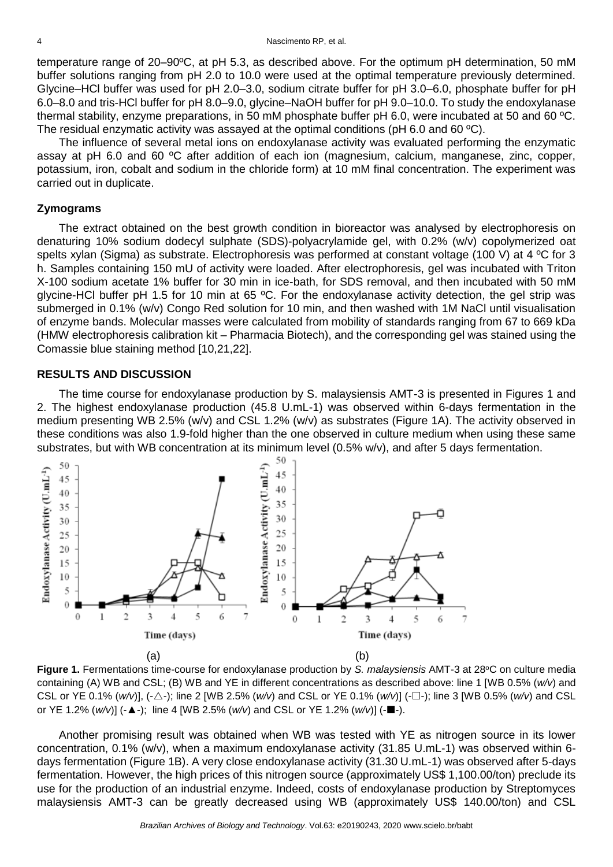temperature range of 20–90ºC, at pH 5.3, as described above. For the optimum pH determination, 50 mM buffer solutions ranging from pH 2.0 to 10.0 were used at the optimal temperature previously determined. Glycine–HCl buffer was used for pH 2.0–3.0, sodium citrate buffer for pH 3.0–6.0, phosphate buffer for pH 6.0–8.0 and tris-HCl buffer for pH 8.0–9.0, glycine–NaOH buffer for pH 9.0–10.0. To study the endoxylanase thermal stability, enzyme preparations, in 50 mM phosphate buffer pH 6.0, were incubated at 50 and 60 ºC. The residual enzymatic activity was assayed at the optimal conditions (pH 6.0 and 60 ºC).

The influence of several metal ions on endoxylanase activity was evaluated performing the enzymatic assay at pH 6.0 and 60 ºC after addition of each ion (magnesium, calcium, manganese, zinc, copper, potassium, iron, cobalt and sodium in the chloride form) at 10 mM final concentration. The experiment was carried out in duplicate.

## **Zymograms**

The extract obtained on the best growth condition in bioreactor was analysed by electrophoresis on denaturing 10% sodium dodecyl sulphate (SDS)-polyacrylamide gel, with 0.2% (w/v) copolymerized oat spelts xylan (Sigma) as substrate. Electrophoresis was performed at constant voltage (100 V) at 4 °C for 3 h. Samples containing 150 mU of activity were loaded. After electrophoresis, gel was incubated with Triton X-100 sodium acetate 1% buffer for 30 min in ice-bath, for SDS removal, and then incubated with 50 mM glycine-HCl buffer pH 1.5 for 10 min at 65 ºC. For the endoxylanase activity detection, the gel strip was submerged in 0.1% (w/v) Congo Red solution for 10 min, and then washed with 1M NaCl until visualisation of enzyme bands. Molecular masses were calculated from mobility of standards ranging from 67 to 669 kDa (HMW electrophoresis calibration kit – Pharmacia Biotech), and the corresponding gel was stained using the Comassie blue staining method [10,21,22].

## **RESULTS AND DISCUSSION**

The time course for endoxylanase production by S. malaysiensis AMT-3 is presented in Figures 1 and 2. The highest endoxylanase production (45.8 U.mL-1) was observed within 6-days fermentation in the medium presenting WB 2.5% (w/v) and CSL 1.2% (w/v) as substrates (Figure 1A). The activity observed in these conditions was also 1.9-fold higher than the one observed in culture medium when using these same substrates, but with WB concentration at its minimum level (0.5% w/v), and after 5 days fermentation.





Another promising result was obtained when WB was tested with YE as nitrogen source in its lower concentration, 0.1% (w/v), when a maximum endoxylanase activity (31.85 U.mL-1) was observed within 6 days fermentation (Figure 1B). A very close endoxylanase activity (31.30 U.mL-1) was observed after 5-days fermentation. However, the high prices of this nitrogen source (approximately US\$ 1,100.00/ton) preclude its use for the production of an industrial enzyme. Indeed, costs of endoxylanase production by Streptomyces malaysiensis AMT-3 can be greatly decreased using WB (approximately US\$ 140.00/ton) and CSL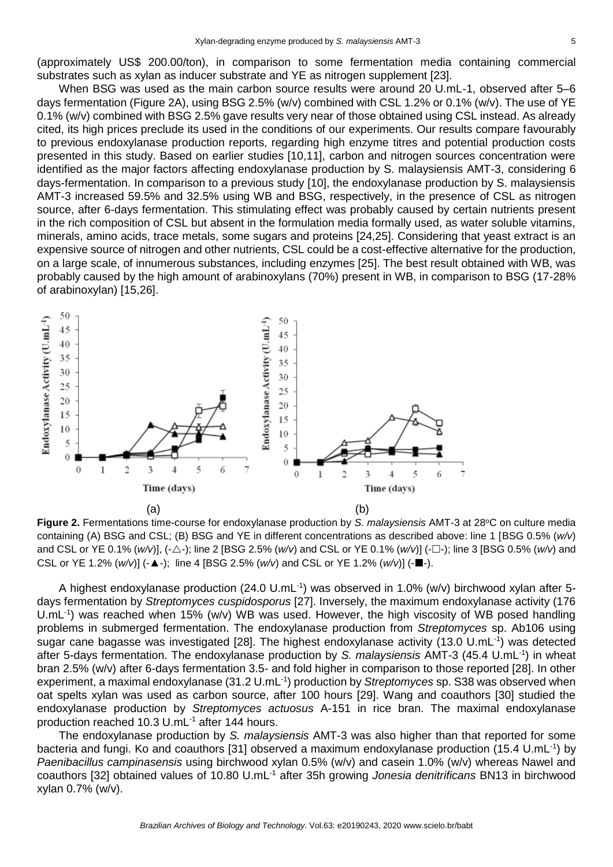(approximately US\$ 200.00/ton), in comparison to some fermentation media containing commercial substrates such as xylan as inducer substrate and YE as nitrogen supplement [23].

When BSG was used as the main carbon source results were around 20 U.mL-1, observed after 5–6 days fermentation (Figure 2A), using BSG 2.5% (w/v) combined with CSL 1.2% or 0.1% (w/v). The use of YE 0.1% (w/v) combined with BSG 2.5% gave results very near of those obtained using CSL instead. As already cited, its high prices preclude its used in the conditions of our experiments. Our results compare favourably to previous endoxylanase production reports, regarding high enzyme titres and potential production costs presented in this study. Based on earlier studies [10,11], carbon and nitrogen sources concentration were identified as the major factors affecting endoxylanase production by S. malaysiensis AMT-3, considering 6 days-fermentation. In comparison to a previous study [10], the endoxylanase production by S. malaysiensis AMT-3 increased 59.5% and 32.5% using WB and BSG, respectively, in the presence of CSL as nitrogen source, after 6-days fermentation. This stimulating effect was probably caused by certain nutrients present in the rich composition of CSL but absent in the formulation media formally used, as water soluble vitamins, minerals, amino acids, trace metals, some sugars and proteins [24,25]. Considering that yeast extract is an expensive source of nitrogen and other nutrients, CSL could be a cost-effective alternative for the production, on a large scale, of innumerous substances, including enzymes [25]. The best result obtained with WB, was probably caused by the high amount of arabinoxylans (70%) present in WB, in comparison to BSG (17-28% of arabinoxylan) [15,26].



Figure 2. Fermentations time-course for endoxylanase production by *S. malaysiensis* AMT-3 at 28°C on culture media containing (A) BSG and CSL; (B) BSG and YE in different concentrations as described above: line 1 [BSG 0.5% (*w/v*) and CSL or YE 0.1% (*w/v*)], (-△-); line 2 [BSG 2.5% (*w/v*) and CSL or YE 0.1% (*w/v*)] (-□-); line 3 [BSG 0.5% (*w/v*) and CSL or YE 1.2%  $(w/v)$ ]  $(-\Delta -)$ ; line 4 [BSG 2.5%  $(w/v)$  and CSL or YE 1.2%  $(w/v)$ ]  $(-\Box -)$ .

A highest endoxylanase production (24.0 U.mL<sup>-1</sup>) was observed in 1.0% (w/v) birchwood xylan after 5days fermentation by *Streptomyces cuspidosporus* [27]. Inversely, the maximum endoxylanase activity (176 U.mL<sup>-1</sup>) was reached when 15% (w/v) WB was used. However, the high viscosity of WB posed handling problems in submerged fermentation. The endoxylanase production from *Streptomyces* sp. Ab106 using sugar cane bagasse was investigated [28]. The highest endoxylanase activity (13.0 U.mL<sup>-1</sup>) was detected after 5-days fermentation. The endoxylanase production by *S. malaysiensis* AMT-3 (45.4 U.mL-1 ) in wheat bran 2.5% (w/v) after 6-days fermentation 3.5- and fold higher in comparison to those reported [28]. In other experiment, a maximal endoxylanase (31.2 U.mL<sup>-1</sup>) production by *Streptomyces* sp. S38 was observed when oat spelts xylan was used as carbon source, after 100 hours [29]. Wang and coauthors [30] studied the endoxylanase production by *Streptomyces actuosus* A-151 in rice bran. The maximal endoxylanase production reached 10.3 U.mL-1 after 144 hours.

The endoxylanase production by *S. malaysiensis* AMT-3 was also higher than that reported for some bacteria and fungi. Ko and coauthors [31] observed a maximum endoxylanase production (15.4 U.mL<sup>-1</sup>) by *Paenibacillus campinasensis* using birchwood xylan 0.5% (w/v) and casein 1.0% (w/v) whereas Nawel and coauthors [32] obtained values of 10.80 U.mL-1 after 35h growing *Jonesia denitrificans* BN13 in birchwood xylan 0.7% (w/v).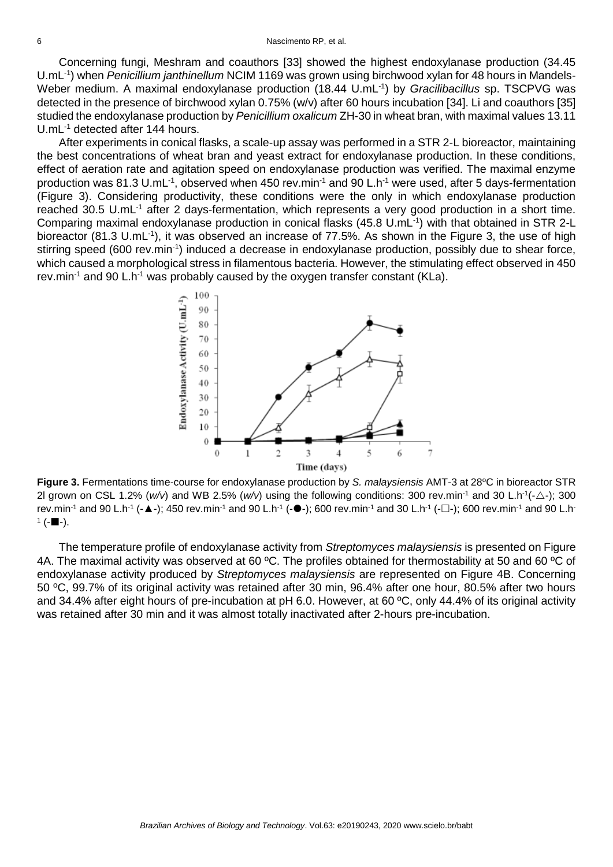Concerning fungi, Meshram and coauthors [33] showed the highest endoxylanase production (34.45 U.mL-1 ) when *Penicillium janthinellum* NCIM 1169 was grown using birchwood xylan for 48 hours in Mandels-Weber medium. A maximal endoxylanase production (18.44 U.mL<sup>-1</sup>) by *Gracilibacillus* sp. TSCPVG was detected in the presence of birchwood xylan 0.75% (w/v) after 60 hours incubation [34]. Li and coauthors [35] studied the endoxylanase production by *Penicillium oxalicum* ZH-30 in wheat bran, with maximal values 13.11 U.mL<sup>-1</sup> detected after 144 hours.

After experiments in conical flasks, a scale-up assay was performed in a STR 2-L bioreactor, maintaining the best concentrations of wheat bran and yeast extract for endoxylanase production. In these conditions, effect of aeration rate and agitation speed on endoxylanase production was verified. The maximal enzyme production was 81.3 U.mL<sup>-1</sup>, observed when 450 rev.min<sup>-1</sup> and 90 L.h<sup>-1</sup> were used, after 5 days-fermentation (Figure 3). Considering productivity, these conditions were the only in which endoxylanase production reached 30.5 U.mL<sup>-1</sup> after 2 days-fermentation, which represents a very good production in a short time. Comparing maximal endoxylanase production in conical flasks (45.8 U.mL<sup>-1</sup>) with that obtained in STR 2-L bioreactor (81.3 U.mL<sup>-1</sup>), it was observed an increase of 77.5%. As shown in the Figure 3, the use of high stirring speed (600 rev.min<sup>-1</sup>) induced a decrease in endoxylanase production, possibly due to shear force, which caused a morphological stress in filamentous bacteria. However, the stimulating effect observed in 450 rev.min<sup>-1</sup> and 90 L.h<sup>-1</sup> was probably caused by the oxygen transfer constant (KLa).



**Figure 3.** Fermentations time-course for endoxylanase production by *S. malaysiensis* AMT-3 at 28°C in bioreactor STR 2l grown on CSL 1.2% ( $w/v$ ) and WB 2.5% ( $w/v$ ) using the following conditions: 300 rev.min<sup>-1</sup> and 30 L.h<sup>-1</sup>(- $\triangle$ -); 300 rev.min<sup>-1</sup> and 90 L.h<sup>-1</sup> (-▲-); 450 rev.min<sup>-1</sup> and 90 L.h<sup>-1</sup> (-●-); 600 rev.min<sup>-1</sup> and 30 L.h<sup>-1</sup> (-□-); 600 rev.min<sup>-1</sup> and 90 L.h<sup>-</sup>  $1(- \blacksquare -).$ 

The temperature profile of endoxylanase activity from *Streptomyces malaysiensis* is presented on Figure 4A. The maximal activity was observed at 60 °C. The profiles obtained for thermostability at 50 and 60 °C of endoxylanase activity produced by *Streptomyces malaysiensis* are represented on Figure 4B. Concerning 50 ºC, 99.7% of its original activity was retained after 30 min, 96.4% after one hour, 80.5% after two hours and 34.4% after eight hours of pre-incubation at pH 6.0. However, at 60 ºC, only 44.4% of its original activity was retained after 30 min and it was almost totally inactivated after 2-hours pre-incubation.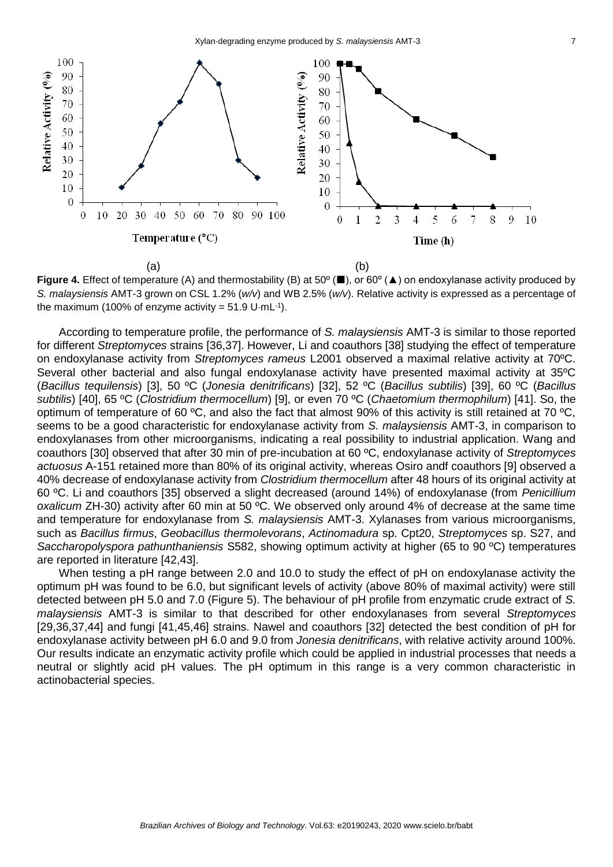

**Figure 4.** Effect of temperature (A) and thermostability (B) at 50<sup>°</sup> (■), or 60<sup>°</sup> (▲) on endoxylanase activity produced by *S. malaysiensis* AMT-3 grown on CSL 1.2% (*w/v*) and WB 2.5% (*w/v*). Relative activity is expressed as a percentage of the maximum (100% of enzyme activity =  $51.9$  U·mL<sup>-1</sup>).

According to temperature profile, the performance of *S. malaysiensis* AMT-3 is similar to those reported for different *Streptomyces* strains [36,37]. However, Li and coauthors [38] studying the effect of temperature on endoxylanase activity from *Streptomyces rameus* L2001 observed a maximal relative activity at 70ºC. Several other bacterial and also fungal endoxylanase activity have presented maximal activity at 35ºC (*Bacillus tequilensis*) [3], 50 ºC (*Jonesia denitrificans*) [32], 52 ºC (*Bacillus subtilis*) [39], 60 ºC (*Bacillus subtilis*) [40], 65 ºC (*Clostridium thermocellum*) [9], or even 70 ºC (*Chaetomium thermophilum*) [41]. So, the optimum of temperature of 60 ºC, and also the fact that almost 90% of this activity is still retained at 70 ºC, seems to be a good characteristic for endoxylanase activity from *S. malaysiensis* AMT-3, in comparison to endoxylanases from other microorganisms, indicating a real possibility to industrial application. Wang and coauthors [30] observed that after 30 min of pre-incubation at 60 ºC, endoxylanase activity of *Streptomyces actuosus* A-151 retained more than 80% of its original activity, whereas Osiro andf coauthors [9] observed a 40% decrease of endoxylanase activity from *Clostridium thermocellum* after 48 hours of its original activity at 60 ºC. Li and coauthors [35] observed a slight decreased (around 14%) of endoxylanase (from *Penicillium oxalicum* ZH-30) activity after 60 min at 50 ºC. We observed only around 4% of decrease at the same time and temperature for endoxylanase from *S. malaysiensis* AMT-3. Xylanases from various microorganisms, such as *Bacillus firmus*, *Geobacillus thermolevorans*, *Actinomadura* sp. Cpt20, *Streptomyces* sp. S27, and *Saccharopolyspora pathunthaniensis* S582, showing optimum activity at higher (65 to 90 ºC) temperatures are reported in literature [42,43].

When testing a pH range between 2.0 and 10.0 to study the effect of pH on endoxylanase activity the optimum pH was found to be 6.0, but significant levels of activity (above 80% of maximal activity) were still detected between pH 5.0 and 7.0 (Figure 5). The behaviour of pH profile from enzymatic crude extract of *S. malaysiensis* AMT-3 is similar to that described for other endoxylanases from several *Streptomyces*  [29,36,37,44] and fungi [41,45,46] strains. Nawel and coauthors [32] detected the best condition of pH for endoxylanase activity between pH 6.0 and 9.0 from *Jonesia denitrificans*, with relative activity around 100%. Our results indicate an enzymatic activity profile which could be applied in industrial processes that needs a neutral or slightly acid pH values. The pH optimum in this range is a very common characteristic in actinobacterial species.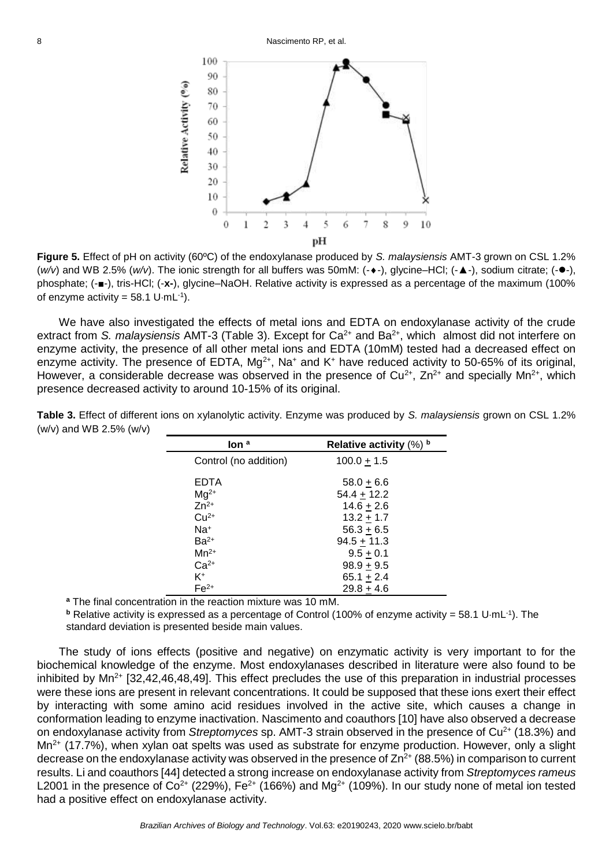

**Figure 5.** Effect of pH on activity (60ºC) of the endoxylanase produced by *S. malaysiensis* AMT-3 grown on CSL 1.2% (*w*/v) and WB 2.5% (*w*/v). The ionic strength for all buffers was 50mM: (- $\bullet$ -), glycine–HCl; (-▲-), sodium citrate; (- $\bullet$ -), phosphate; (-■-), tris-HCl; (-**x-**), glycine–NaOH. Relative activity is expressed as a percentage of the maximum (100% of enzyme activity =  $58.1$  U $\cdot$ mL $^{-1}$ ).

We have also investigated the effects of metal ions and EDTA on endoxylanase activity of the crude extract from *S. malaysiensis* AMT-3 (Table 3). Except for Ca<sup>2+</sup> and Ba<sup>2+</sup>, which almost did not interfere on enzyme activity, the presence of all other metal ions and EDTA (10mM) tested had a decreased effect on enzyme activity. The presence of EDTA,  $Mq^{2+}$ , Na<sup>+</sup> and K<sup>+</sup> have reduced activity to 50-65% of its original, However, a considerable decrease was observed in the presence of  $Cu^{2+}$ ,  $Zn^{2+}$  and specially Mn<sup>2+</sup>, which presence decreased activity to around 10-15% of its original.

| $\mathsf{Ion}^a$      | Relative activity $(\%)$ b |
|-----------------------|----------------------------|
| Control (no addition) | $100.0 + 1.5$              |
| EDTA                  | $58.0 + 6.6$               |
| $Mq^{2+}$             | $54.4 + 12.2$              |
| $Zn^{2+}$             | $14.6 + 2.6$               |
| $Cu2+$                | $13.2 + 1.7$               |
| Na+                   | $56.3 + 6.5$               |
| $Ba2+$                | $94.5 + 11.3$              |
| $Mn^{2+}$             | $9.5 + 0.1$                |
| $Ca2+$                | $98.9 + 9.5$               |
| K+                    | $65.1 + 2.4$               |
| $Fe2+$                | $29.8 + 4.6$               |

**Table 3.** Effect of different ions on xylanolytic activity. Enzyme was produced by *S. malaysiensis* grown on CSL 1.2% (w/v) and WB 2.5% (w/v)

**<sup>a</sup>** The final concentration in the reaction mixture was 10 mM.

**b** Relative activity is expressed as a percentage of Control (100% of enzyme activity = 58.1 U·mL<sup>-1</sup>). The standard deviation is presented beside main values.

The study of ions effects (positive and negative) on enzymatic activity is very important to for the biochemical knowledge of the enzyme. Most endoxylanases described in literature were also found to be inhibited by  $Mn^{2+}$  [32,42,46,48,49]. This effect precludes the use of this preparation in industrial processes were these ions are present in relevant concentrations. It could be supposed that these ions exert their effect by interacting with some amino acid residues involved in the active site, which causes a change in conformation leading to enzyme inactivation. Nascimento and coauthors [10] have also observed a decrease on endoxylanase activity from *Streptomyces* sp. AMT-3 strain observed in the presence of Cu<sup>2+</sup> (18.3%) and Mn<sup>2+</sup> (17.7%), when xylan oat spelts was used as substrate for enzyme production. However, only a slight decrease on the endoxylanase activity was observed in the presence of  $\text{Zn}^{2+}$  (88.5%) in comparison to current results. Li and coauthors [44] detected a strong increase on endoxylanase activity from *Streptomyces rameus* L2001 in the presence of  $Co^{2+}$  (229%), Fe<sup>2+</sup> (166%) and Mg<sup>2+</sup> (109%). In our study none of metal ion tested had a positive effect on endoxylanase activity.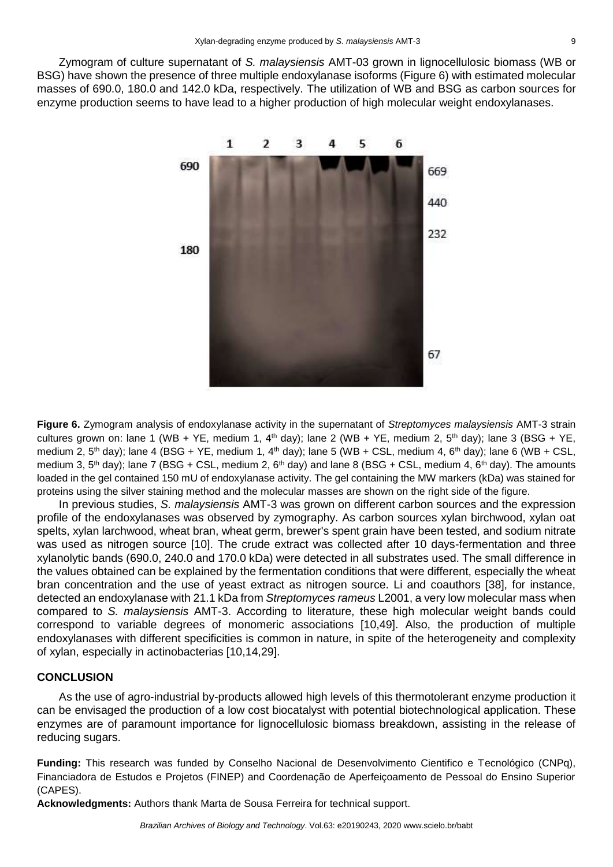Zymogram of culture supernatant of *S. malaysiensis* AMT-03 grown in lignocellulosic biomass (WB or BSG) have shown the presence of three multiple endoxylanase isoforms (Figure 6) with estimated molecular masses of 690.0, 180.0 and 142.0 kDa, respectively. The utilization of WB and BSG as carbon sources for enzyme production seems to have lead to a higher production of high molecular weight endoxylanases.



**Figure 6.** Zymogram analysis of endoxylanase activity in the supernatant of *Streptomyces malaysiensis* AMT-3 strain cultures grown on: lane 1 (WB + YE, medium 1,  $4<sup>th</sup>$  day); lane 2 (WB + YE, medium 2,  $5<sup>th</sup>$  day); lane 3 (BSG + YE, medium 2,  $5<sup>th</sup>$  day); lane 4 (BSG + YE, medium 1,  $4<sup>th</sup>$  day); lane 5 (WB + CSL, medium 4,  $6<sup>th</sup>$  day); lane 6 (WB + CSL, medium 3,  $5<sup>th</sup>$  day); lane 7 (BSG + CSL, medium 2,  $6<sup>th</sup>$  day) and lane 8 (BSG + CSL, medium 4,  $6<sup>th</sup>$  day). The amounts loaded in the gel contained 150 mU of endoxylanase activity. The gel containing the MW markers (kDa) was stained for proteins using the silver staining method and the molecular masses are shown on the right side of the figure.

In previous studies, *S. malaysiensis* AMT-3 was grown on different carbon sources and the expression profile of the endoxylanases was observed by zymography. As carbon sources xylan birchwood, xylan oat spelts, xylan larchwood, wheat bran, wheat germ, brewer's spent grain have been tested, and sodium nitrate was used as nitrogen source [10]. The crude extract was collected after 10 days-fermentation and three xylanolytic bands (690.0, 240.0 and 170.0 kDa) were detected in all substrates used. The small difference in the values obtained can be explained by the fermentation conditions that were different, especially the wheat bran concentration and the use of yeast extract as nitrogen source. Li and coauthors [38], for instance, detected an endoxylanase with 21.1 kDa from *Streptomyces rameus* L2001, a very low molecular mass when compared to *S. malaysiensis* AMT-3. According to literature, these high molecular weight bands could correspond to variable degrees of monomeric associations [10,49]. Also, the production of multiple endoxylanases with different specificities is common in nature, in spite of the heterogeneity and complexity of xylan, especially in actinobacterias [10,14,29].

#### **CONCLUSION**

As the use of agro-industrial by-products allowed high levels of this thermotolerant enzyme production it can be envisaged the production of a low cost biocatalyst with potential biotechnological application. These enzymes are of paramount importance for lignocellulosic biomass breakdown, assisting in the release of reducing sugars.

**Funding:** This research was funded by Conselho Nacional de Desenvolvimento Cientifico e Tecnológico (CNPq), Financiadora de Estudos e Projetos (FINEP) and Coordenação de Aperfeiçoamento de Pessoal do Ensino Superior (CAPES).

**Acknowledgments:** Authors thank Marta de Sousa Ferreira for technical support.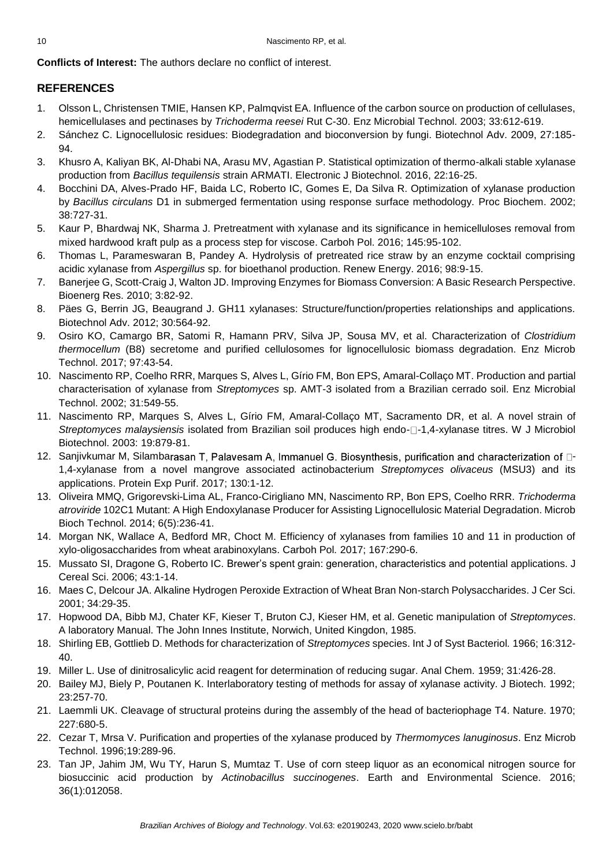**Conflicts of Interest:** The authors declare no conflict of interest.

# **REFERENCES**

- 1. Olsson L, Christensen TMIE, Hansen KP, Palmqvist EA. Influence of the carbon source on production of cellulases, hemicellulases and pectinases by *Trichoderma reesei* Rut C-30. Enz Microbial Technol. 2003; 33:612-619.
- 2. Sánchez C. Lignocellulosic residues: Biodegradation and bioconversion by fungi. Biotechnol Adv. 2009, 27:185- 94.
- 3. Khusro A, Kaliyan BK, Al-Dhabi NA, Arasu MV, Agastian P. Statistical optimization of thermo-alkali stable xylanase production from *Bacillus tequilensis* strain ARMATI. Electronic J Biotechnol. 2016, 22:16-25.
- 4. Bocchini DA, Alves-Prado HF, Baida LC, Roberto IC, Gomes E, Da Silva R. Optimization of xylanase production by *Bacillus circulans* D1 in submerged fermentation using response surface methodology. Proc Biochem. 2002; 38:727-31.
- 5. Kaur P, Bhardwaj NK, Sharma J. Pretreatment with xylanase and its significance in hemicelluloses removal from mixed hardwood kraft pulp as a process step for viscose. Carboh Pol. 2016; 145:95-102.
- 6. Thomas L, Parameswaran B, Pandey A. Hydrolysis of pretreated rice straw by an enzyme cocktail comprising acidic xylanase from *Aspergillus* sp. for bioethanol production. Renew Energy. 2016; 98:9-15.
- 7. Banerjee G, Scott-Craig J, Walton JD. Improving Enzymes for Biomass Conversion: A Basic Research Perspective. Bioenerg Res. 2010; 3:82-92.
- 8. Päes G, Berrin JG, Beaugrand J. GH11 xylanases: Structure/function/properties relationships and applications. Biotechnol Adv. 2012; 30:564-92.
- 9. Osiro KO, Camargo BR, Satomi R, Hamann PRV, Silva JP, Sousa MV, et al. Characterization of *Clostridium thermocellum* (B8) secretome and purified cellulosomes for lignocellulosic biomass degradation. Enz Microb Technol. 2017; 97:43-54.
- 10. Nascimento RP, Coelho RRR, Marques S, Alves L, Gírio FM, Bon EPS, Amaral-Collaço MT. Production and partial characterisation of xylanase from *Streptomyces* sp. AMT-3 isolated from a Brazilian cerrado soil. Enz Microbial Technol. 2002; 31:549-55.
- 11. Nascimento RP, Marques S, Alves L, Gírio FM, Amaral-Collaço MT, Sacramento DR, et al. A novel strain of *Streptomyces malaysiensis* isolated from Brazilian soil produces high endo- $\Box$ -1,4-xylanase titres. W J Microbiol Biotechnol. 2003: 19:879-81.
- 12. Sanjivkumar M, Silambarasan T, Palavesam A, Immanuel G. Biosynthesis, purification and characterization of  $\Box$ -1,4-xylanase from a novel mangrove associated actinobacterium *Streptomyces olivaceus* (MSU3) and its applications. Protein Exp Purif. 2017; 130:1-12.
- 13. Oliveira MMQ, Grigorevski-Lima AL, Franco-Cirigliano MN, Nascimento RP, Bon EPS, Coelho RRR. *Trichoderma atroviride* 102C1 Mutant: A High Endoxylanase Producer for Assisting Lignocellulosic Material Degradation. Microb Bioch Technol. 2014; 6(5):236-41.
- 14. Morgan NK, Wallace A, Bedford MR, Choct M. Efficiency of xylanases from families 10 and 11 in production of xylo-oligosaccharides from wheat arabinoxylans. Carboh Pol*.* 2017; 167:290-6.
- 15. Mussato SI, Dragone G, Roberto IC. Brewer's spent grain: generation, characteristics and potential applications. J Cereal Sci. 2006; 43:1-14.
- 16. Maes C, Delcour JA. Alkaline Hydrogen Peroxide Extraction of Wheat Bran Non-starch Polysaccharides. J Cer Sci. 2001; 34:29-35.
- 17. Hopwood DA, Bibb MJ, Chater KF, Kieser T, Bruton CJ, Kieser HM, et al. Genetic manipulation of *Streptomyces*. A laboratory Manual. The John Innes Institute, Norwich, United Kingdon, 1985.
- 18. Shirling EB, Gottlieb D. Methods for characterization of *Streptomyces* species. Int J of Syst Bacteriol*.* 1966; 16:312- 40.
- 19. Miller L. Use of dinitrosalicylic acid reagent for determination of reducing sugar. Anal Chem*.* 1959; 31:426-28.
- 20. Bailey MJ, Biely P, Poutanen K. Interlaboratory testing of methods for assay of xylanase activity. J Biotech. 1992; 23:257-70.
- 21. Laemmli UK. Cleavage of structural proteins during the assembly of the head of bacteriophage T4. Nature. 1970; 227:680-5.
- 22. Cezar T, Mrsa V. Purification and properties of the xylanase produced by *Thermomyces lanuginosus*. Enz Microb Technol. 1996;19:289-96.
- 23. Tan JP, Jahim JM, Wu TY, Harun S, Mumtaz T. Use of corn steep liquor as an economical nitrogen source for biosuccinic acid production by *Actinobacillus succinogenes*. Earth and Environmental Science. 2016; 36(1):012058.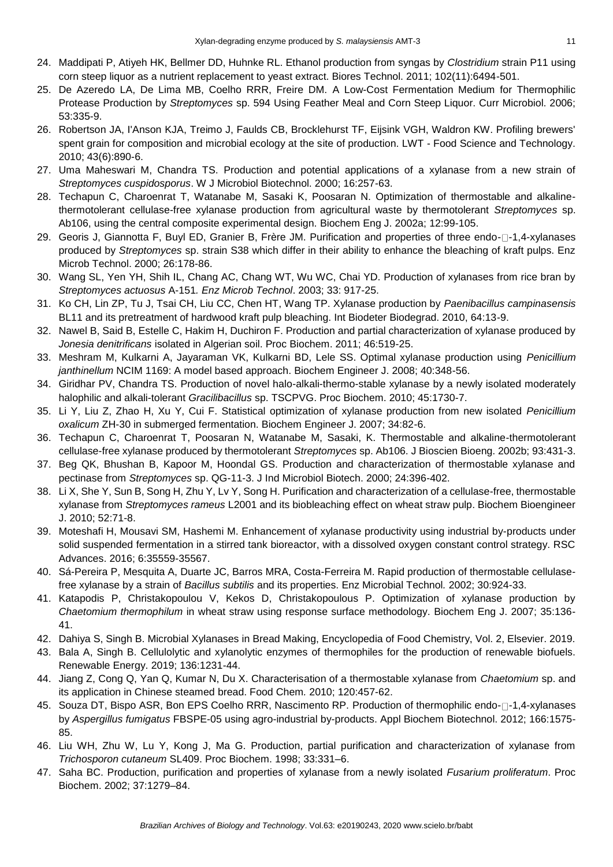- 24. Maddipati P, Atiyeh HK, Bellmer DD, Huhnke RL. Ethanol production from syngas by *Clostridium* strain P11 using corn steep liquor as a nutrient replacement to yeast extract. Biores Technol. 2011; 102(11):6494-501.
- 25. De Azeredo LA, De Lima MB, Coelho RRR, Freire DM. A Low-Cost Fermentation Medium for Thermophilic Protease Production by *Streptomyces* sp. 594 Using Feather Meal and Corn Steep Liquor. Curr Microbiol. 2006; 53:335-9.
- 26. Robertson JA, I'Anson KJA, Treimo J, Faulds CB, Brocklehurst TF, Eijsink VGH, Waldron KW. Profiling brewers' spent grain for composition and microbial ecology at the site of production. LWT - Food Science and Technology. 2010; 43(6):890-6.
- 27. Uma Maheswari M, Chandra TS. Production and potential applications of a xylanase from a new strain of *Streptomyces cuspidosporus*. W J Microbiol Biotechnol. 2000; 16:257-63.
- 28. Techapun C, Charoenrat T, Watanabe M, Sasaki K, Poosaran N. Optimization of thermostable and alkalinethermotolerant cellulase-free xylanase production from agricultural waste by thermotolerant *Streptomyces* sp. Ab106, using the central composite experimental design. Biochem Eng J. 2002a; 12:99-105.
- 29. Georis J, Giannotta F, Buyl ED, Granier B, Frère JM. Purification and properties of three endo- $\Box$ -1,4-xylanases produced by *Streptomyces* sp. strain S38 which differ in their ability to enhance the bleaching of kraft pulps. Enz Microb Technol. 2000; 26:178-86.
- 30. Wang SL, Yen YH, Shih IL, Chang AC, Chang WT, Wu WC, Chai YD. Production of xylanases from rice bran by *Streptomyces actuosus* A-151*. Enz Microb Technol*. 2003; 33: 917-25.
- 31. Ko CH, Lin ZP, Tu J, Tsai CH, Liu CC, Chen HT, Wang TP. Xylanase production by *Paenibacillus campinasensis* BL11 and its pretreatment of hardwood kraft pulp bleaching. Int Biodeter Biodegrad. 2010, 64:13-9.
- 32. Nawel B, Said B, Estelle C, Hakim H, Duchiron F. Production and partial characterization of xylanase produced by *Jonesia denitrificans* isolated in Algerian soil. Proc Biochem. 2011; 46:519-25.
- 33. Meshram M, Kulkarni A, Jayaraman VK, Kulkarni BD, Lele SS. Optimal xylanase production using *Penicillium janthinellum* NCIM 1169: A model based approach. Biochem Engineer J. 2008; 40:348-56.
- 34. Giridhar PV, Chandra TS. Production of novel halo-alkali-thermo-stable xylanase by a newly isolated moderately halophilic and alkali-tolerant *Gracilibacillus* sp. TSCPVG. Proc Biochem. 2010; 45:1730-7.
- 35. Li Y, Liu Z, Zhao H, Xu Y, Cui F. Statistical optimization of xylanase production from new isolated *Penicillium oxalicum* ZH-30 in submerged fermentation. Biochem Engineer J. 2007; 34:82-6.
- 36. Techapun C, Charoenrat T, Poosaran N, Watanabe M, Sasaki, K. Thermostable and alkaline-thermotolerant cellulase-free xylanase produced by thermotolerant *Streptomyces* sp. Ab106. J Bioscien Bioeng. 2002b; 93:431-3.
- 37. Beg QK, Bhushan B, Kapoor M, Hoondal GS. Production and characterization of thermostable xylanase and pectinase from *Streptomyces* sp. QG-11-3. J Ind Microbiol Biotech. 2000; 24:396-402.
- 38. Li X, She Y, Sun B, Song H, Zhu Y, Lv Y, Song H. Purification and characterization of a cellulase-free, thermostable xylanase from *Streptomyces rameus* L2001 and its biobleaching effect on wheat straw pulp. Biochem Bioengineer J. 2010; 52:71-8.
- 39. Moteshafi H, Mousavi SM, Hashemi M. Enhancement of xylanase productivity using industrial by-products under solid suspended fermentation in a stirred tank bioreactor, with a dissolved oxygen constant control strategy. RSC Advances. 2016; 6:35559-35567.
- 40. Sá-Pereira P, Mesquita A, Duarte JC, Barros MRA, Costa-Ferreira M. Rapid production of thermostable cellulasefree xylanase by a strain of *Bacillus subtilis* and its properties. Enz Microbial Technol*.* 2002; 30:924-33.
- 41. Katapodis P, Christakopoulou V, Kekos D, Christakopoulous P. Optimization of xylanase production by *Chaetomium thermophilum* in wheat straw using response surface methodology. Biochem Eng J. 2007; 35:136- 41.
- 42. Dahiya S, Singh B. Microbial Xylanases in Bread Making, Encyclopedia of Food Chemistry, Vol. 2, Elsevier. 2019.
- 43. Bala A, Singh B. Cellulolytic and xylanolytic enzymes of thermophiles for the production of renewable biofuels. Renewable Energy. 2019; 136:1231-44.
- 44. Jiang Z, Cong Q, Yan Q, Kumar N, Du X. Characterisation of a thermostable xylanase from *Chaetomium* sp. and its application in Chinese steamed bread. Food Chem*.* 2010; 120:457-62.
- 45. Souza DT, Bispo ASR, Bon EPS Coelho RRR, Nascimento RP. Production of thermophilic endo- $\Box$ -1,4-xylanases by *Aspergillus fumigatus* FBSPE-05 using agro-industrial by-products. Appl Biochem Biotechnol. 2012; 166:1575- 85.
- 46. Liu WH, Zhu W, Lu Y, Kong J, Ma G. Production, partial purification and characterization of xylanase from *Trichosporon cutaneum* SL409. Proc Biochem. 1998; 33:331–6.
- 47. Saha BC. Production, purification and properties of xylanase from a newly isolated *Fusarium proliferatum*. Proc Biochem. 2002; 37:1279–84.